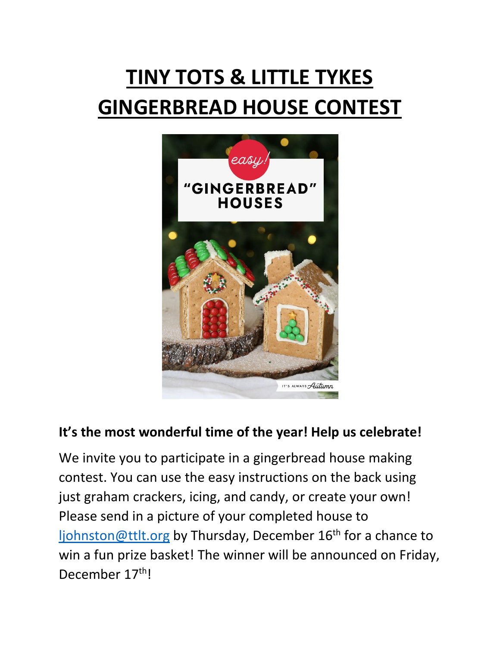# **TINY TOTS & LITTLE TYKES GINGERBREAD HOUSE CONTEST**



### **It's the most wonderful time of the year! Help us celebrate!**

We invite you to participate in a gingerbread house making contest. You can use the easy instructions on the back using just graham crackers, icing, and candy, or create your own! Please send in a picture of your completed house to [ljohnston@ttlt.org](mailto:ljohnston@ttlt.org) by Thursday, December 16<sup>th</sup> for a chance to win a fun prize basket! The winner will be announced on Friday, December 17<sup>th</sup>!